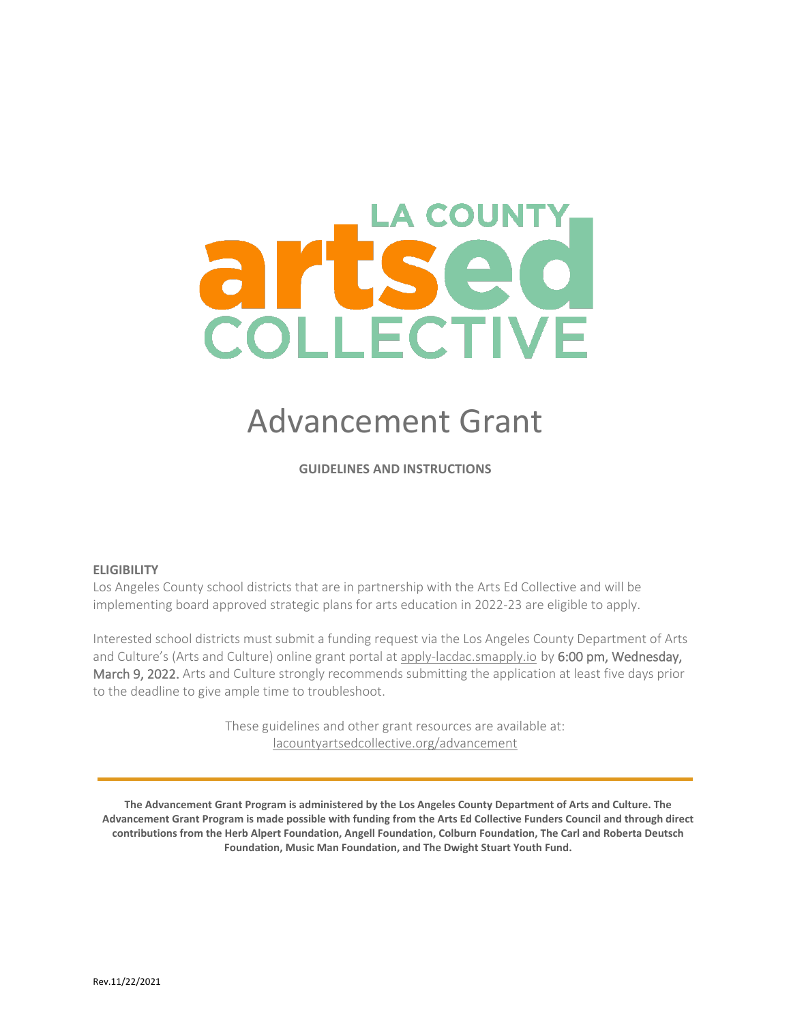# COLLECTIVE

# Advancement Grant

**GUIDELINES AND INSTRUCTIONS**

### **ELIGIBILITY**

Los Angeles County school districts that are in partnership with the Arts Ed Collective and will be implementing board approved strategic plans for arts education in 2022-23 are eligible to apply.

Interested school districts must submit a funding request via the Los Angeles County Department of Arts and Culture's (Arts and Culture) online grant portal at [apply-lacdac.smapply.io](https://apply-lacdac.smapply.io/) by 6:00 pm, Wednesday, March 9, 2022. Arts and Culture strongly recommends submitting the application at least five days prior to the deadline to give ample time to troubleshoot.

> These guidelines and other grant resources are available at: [lacountyartsedcollective.org/advancement](https://www.lacountyartsedcollective.org/advancement)

**The Advancement Grant Program is administered by the Los Angeles County Department of Arts and Culture. The Advancement Grant Program is made possible with funding from the Arts Ed Collective Funders Council and through direct contributions from the Herb Alpert Foundation, Angell Foundation, Colburn Foundation, The Carl and Roberta Deutsch Foundation, Music Man Foundation, and The Dwight Stuart Youth Fund.**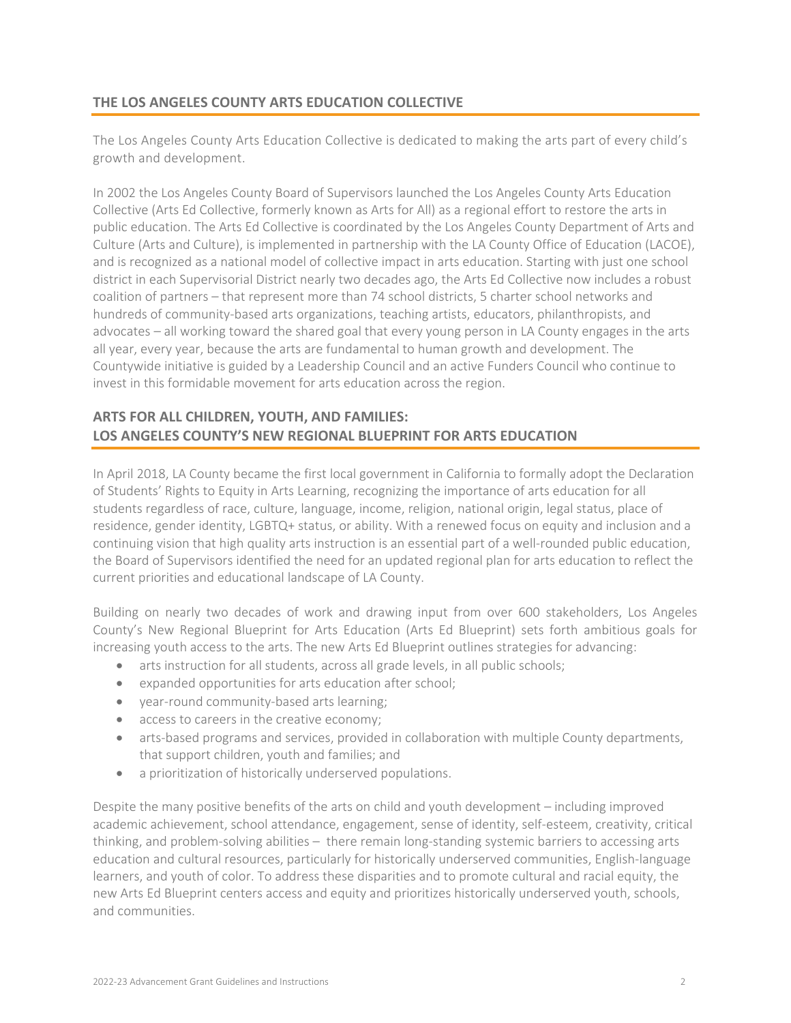### **THE LOS ANGELES COUNTY ARTS EDUCATION COLLECTIVE**

The Los Angeles County Arts Education Collective is dedicated to making the arts part of every child's growth and development.

In 2002 the Los Angeles County Board of Supervisors launched the Los Angeles County Arts Education Collective (Arts Ed Collective, formerly known as Arts for All) as a regional effort to restore the arts in public education. The Arts Ed Collective is coordinated by the Los Angeles County Department of Arts and Culture (Arts and Culture), is implemented in partnership with the LA County Office of Education (LACOE), and is recognized as a national model of collective impact in arts education. Starting with just one school district in each Supervisorial District nearly two decades ago, the Arts Ed Collective now includes a robust coalition of partners – that represent more than 74 school districts, 5 charter school networks and hundreds of community-based arts organizations, teaching artists, educators, philanthropists, and advocates – all working toward the shared goal that every young person in LA County engages in the arts all year, every year, because the arts are fundamental to human growth and development. The Countywide initiative is guided by a Leadership Council and an active Funders Council who continue to invest in this formidable movement for arts education across the region.

### **ARTS FOR ALL CHILDREN, YOUTH, AND FAMILIES: LOS ANGELES COUNTY'S NEW REGIONAL BLUEPRINT FOR ARTS EDUCATION**

In April 2018, LA County became the first local government in California to formally adopt the Declaration of Students' Rights to Equity in Arts Learning, recognizing the importance of arts education for all students regardless of race, culture, language, income, religion, national origin, legal status, place of residence, gender identity, LGBTQ+ status, or ability. With a renewed focus on equity and inclusion and a continuing vision that high quality arts instruction is an essential part of a well-rounded public education, the Board of Supervisors identified the need for an updated regional plan for arts education to reflect the current priorities and educational landscape of LA County.

Building on nearly two decades of work and drawing input from over 600 stakeholders, Los Angeles County's New Regional Blueprint for Arts Education (Arts Ed Blueprint) sets forth ambitious goals for increasing youth access to the arts. The new Arts Ed Blueprint outlines strategies for advancing:

- arts instruction for all students, across all grade levels, in all public schools;
- expanded opportunities for arts education after school;
- year-round community-based arts learning;
- access to careers in the creative economy;
- arts-based programs and services, provided in collaboration with multiple County departments, that support children, youth and families; and
- a prioritization of historically underserved populations.

Despite the many positive benefits of the arts on child and youth development – including improved academic achievement, school attendance, engagement, sense of identity, self-esteem, creativity, critical thinking, and problem-solving abilities – there remain long-standing systemic barriers to accessing arts education and cultural resources, particularly for historically underserved communities, English-language learners, and youth of color. To address these disparities and to promote cultural and racial equity, the new Arts Ed Blueprint centers access and equity and prioritizes historically underserved youth, schools, and communities.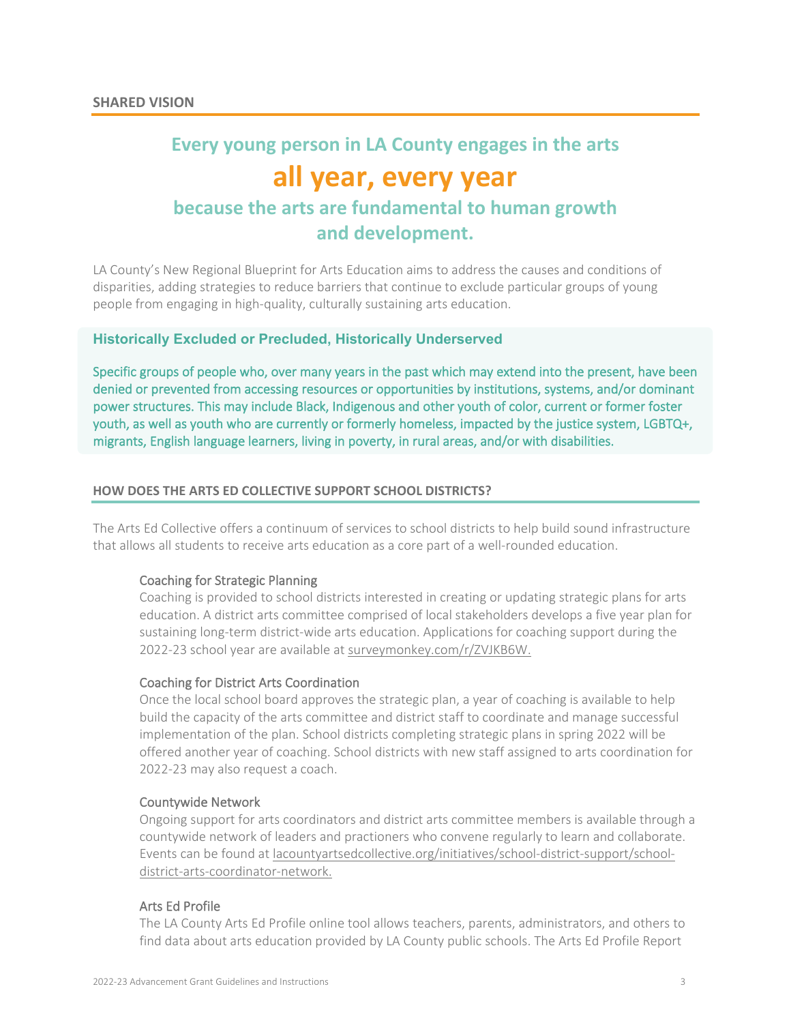# **Every young person in LA County engages in the arts all year, every year because the arts are fundamental to human growth**

## **and development.**

LA County's New Regional Blueprint for Arts Education aims to address the causes and conditions of disparities, adding strategies to reduce barriers that continue to exclude particular groups of young people from engaging in high-quality, culturally sustaining arts education.

### **Historically Excluded or Precluded, Historically Underserved**

Specific groups of people who, over many years in the past which may extend into the present, have been denied or prevented from accessing resources or opportunities by institutions, systems, and/or dominant power structures. This may include Black, Indigenous and other youth of color, current or former foster youth, as well as youth who are currently or formerly homeless, impacted by the justice system, LGBTQ+, migrants, English language learners, living in poverty, in rural areas, and/or with disabilities.

### **HOW DOES THE ARTS ED COLLECTIVE SUPPORT SCHOOL DISTRICTS?**

The Arts Ed Collective offers a continuum of services to school districts to help build sound infrastructure that allows all students to receive arts education as a core part of a well-rounded education.

### Coaching for Strategic Planning

Coaching is provided to school districts interested in creating or updating strategic plans for arts education. A district arts committee comprised of local stakeholders develops a five year plan for sustaining long-term district-wide arts education. Applications for coaching support during the 2022-23 school year are available a[t surveymonkey.com/r/ZVJKB6W.](https://www.surveymonkey.com/r/ZVJKB6W)

### Coaching for District Arts Coordination

Once the local school board approves the strategic plan, a year of coaching is available to help build the capacity of the arts committee and district staff to coordinate and manage successful implementation of the plan. School districts completing strategic plans in spring 2022 will be offered another year of coaching. School districts with new staff assigned to arts coordination for 2022-23 may also request a coach.

### Countywide Network

Ongoing support for arts coordinators and district arts committee members is available through a countywide network of leaders and practioners who convene regularly to learn and collaborate. Events can be found at [lacountyartsedcollective.org/initiatives/school-district-support/school](https://www.lacountyartsedcollective.org/initiatives/school-district-support/school-district-arts-coordinator-network)[district-arts-coordinator-network.](https://www.lacountyartsedcollective.org/initiatives/school-district-support/school-district-arts-coordinator-network)

### Arts Ed Profile

The LA County Arts Ed Profile online tool allows teachers, parents, administrators, and others to find data about arts education provided by LA County public schools. The Arts Ed Profile Report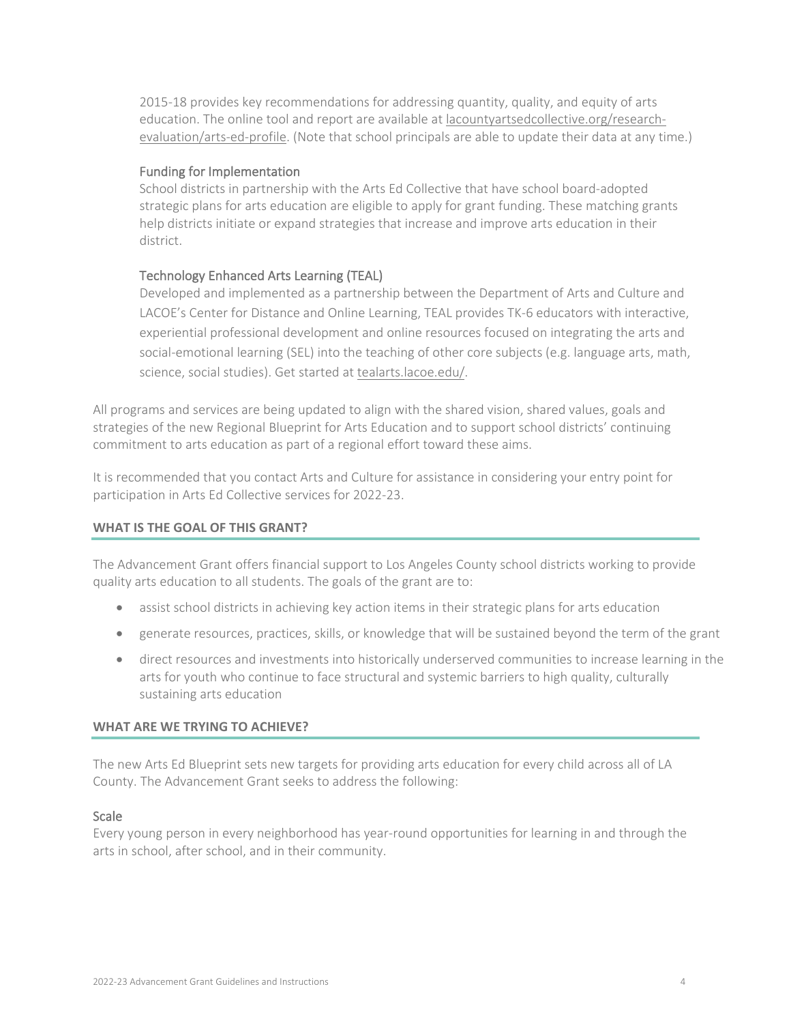2015-18 provides key recommendations for addressing quantity, quality, and equity of arts education. The online tool and report are available at [lacountyartsedcollective.org/research](http://www.lacountyartsedcollective.org/research-evaluation/arts-ed-profile)[evaluation/arts-ed-profile.](http://www.lacountyartsedcollective.org/research-evaluation/arts-ed-profile) (Note that school principals are able to update their data at any time.)

### Funding for Implementation

School districts in partnership with the Arts Ed Collective that have school board-adopted strategic plans for arts education are eligible to apply for grant funding. These matching grants help districts initiate or expand strategies that increase and improve arts education in their district.

### Technology Enhanced Arts Learning (TEAL)

Developed and implemented as a partnership between the Department of Arts and Culture and LACOE's Center for Distance and Online Learning, TEAL provides TK-6 educators with interactive, experiential professional development and online resources focused on integrating the arts and social-emotional learning (SEL) into the teaching of other core subjects (e.g. language arts, math, science, social studies). Get started a[t tealarts.lacoe.edu/.](https://tealarts.lacoe.edu/)

All programs and services are being updated to align with the shared vision, shared values, goals and strategies of the new Regional Blueprint for Arts Education and to support school districts' continuing commitment to arts education as part of a regional effort toward these aims.

It is recommended that you contact Arts and Culture for assistance in considering your entry point for participation in Arts Ed Collective services for 2022-23.

### **WHAT IS THE GOAL OF THIS GRANT?**

The Advancement Grant offers financial support to Los Angeles County school districts working to provide quality arts education to all students. The goals of the grant are to:

- assist school districts in achieving key action items in their strategic plans for arts education
- generate resources, practices, skills, or knowledge that will be sustained beyond the term of the grant
- direct resources and investments into historically underserved communities to increase learning in the arts for youth who continue to face structural and systemic barriers to high quality, culturally sustaining arts education

### **WHAT ARE WE TRYING TO ACHIEVE?**

The new Arts Ed Blueprint sets new targets for providing arts education for every child across all of LA County. The Advancement Grant seeks to address the following:

### **Scale**

Every young person in every neighborhood has year-round opportunities for learning in and through the arts in school, after school, and in their community.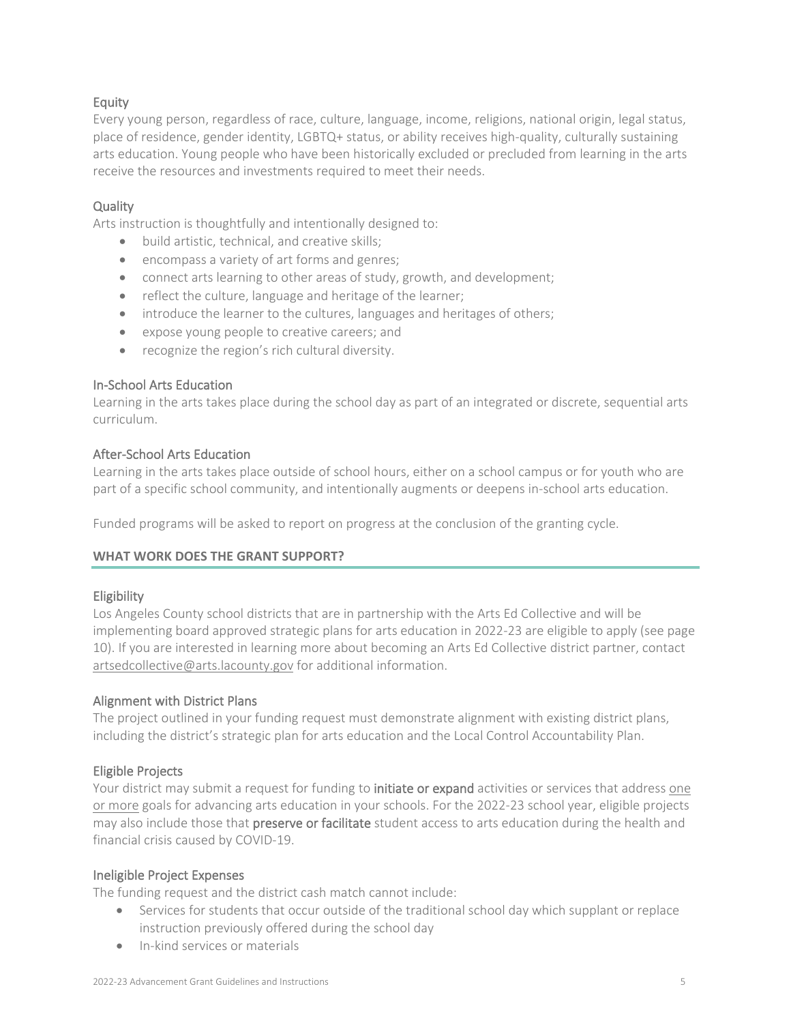### Equity

Every young person, regardless of race, culture, language, income, religions, national origin, legal status, place of residence, gender identity, LGBTQ+ status, or ability receives high-quality, culturally sustaining arts education. Young people who have been historically excluded or precluded from learning in the arts receive the resources and investments required to meet their needs.

### **Quality**

Arts instruction is thoughtfully and intentionally designed to:

- build artistic, technical, and creative skills;
- encompass a variety of art forms and genres;
- connect arts learning to other areas of study, growth, and development;
- reflect the culture, language and heritage of the learner;
- introduce the learner to the cultures, languages and heritages of others;
- expose young people to creative careers; and
- recognize the region's rich cultural diversity.

### In-School Arts Education

Learning in the arts takes place during the school day as part of an integrated or discrete, sequential arts curriculum.

### After-School Arts Education

Learning in the arts takes place outside of school hours, either on a school campus or for youth who are part of a specific school community, and intentionally augments or deepens in-school arts education.

Funded programs will be asked to report on progress at the conclusion of the granting cycle.

### **WHAT WORK DOES THE GRANT SUPPORT?**

### Eligibility

Los Angeles County school districts that are in partnership with the Arts Ed Collective and will be implementing board approved strategic plans for arts education in 2022-23 are eligible to apply (see page 10). If you are interested in learning more about becoming an Arts Ed Collective district partner, contact [artsedcollective@arts.lacounty.gov](mailto:artsedcollective@arts.lacounty.gov) for additional information.

### Alignment with District Plans

The project outlined in your funding request must demonstrate alignment with existing district plans, including the district's strategic plan for arts education and the Local Control Accountability Plan.

### Eligible Projects

Your district may submit a request for funding to initiate or expand activities or services that address one or more goals for advancing arts education in your schools. For the 2022-23 school year, eligible projects may also include those that preserve or facilitate student access to arts education during the health and financial crisis caused by COVID-19.

### Ineligible Project Expenses

The funding request and the district cash match cannot include:

- Services for students that occur outside of the traditional school day which supplant or replace instruction previously offered during the school day
- In-kind services or materials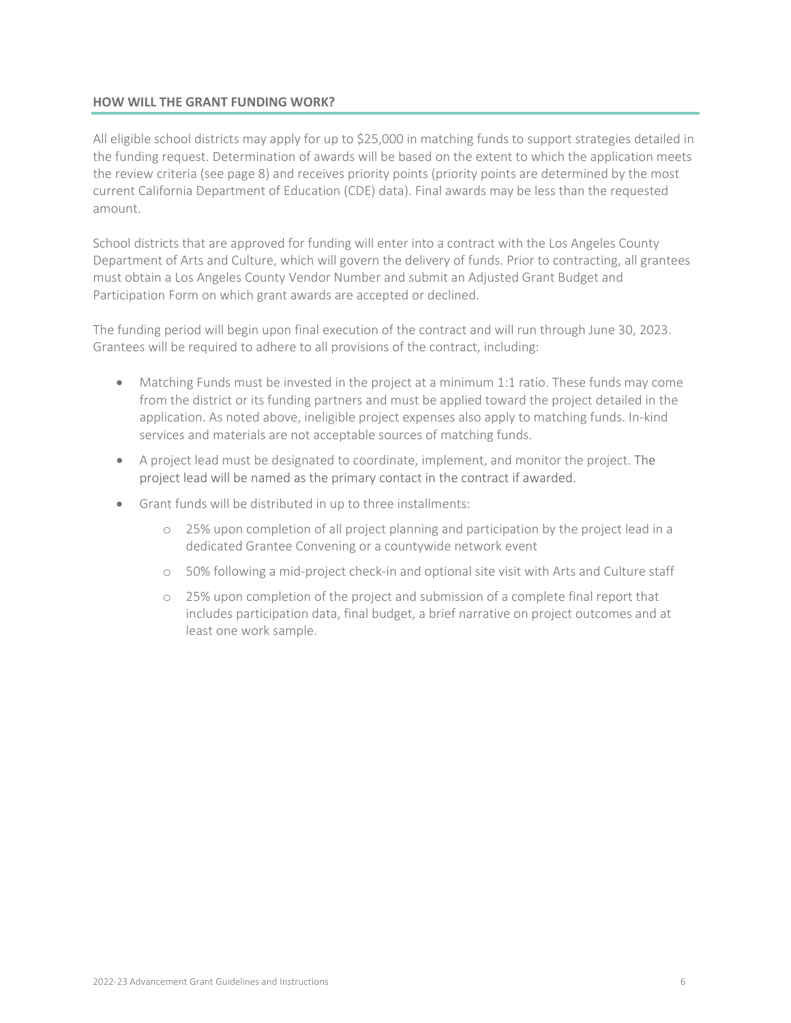### **HOW WILL THE GRANT FUNDING WORK?**

All eligible school districts may apply for up to \$25,000 in matching funds to support strategies detailed in the funding request. Determination of awards will be based on the extent to which the application meets the review criteria (see page 8) and receives priority points (priority points are determined by the most current California Department of Education (CDE) data). Final awards may be less than the requested amount.

School districts that are approved for funding will enter into a contract with the Los Angeles County Department of Arts and Culture, which will govern the delivery of funds. Prior to contracting, all grantees must obtain a Los Angeles County Vendor Number and submit an Adjusted Grant Budget and Participation Form on which grant awards are accepted or declined.

The funding period will begin upon final execution of the contract and will run through June 30, 2023. Grantees will be required to adhere to all provisions of the contract, including:

- Matching Funds must be invested in the project at a minimum 1:1 ratio. These funds may come from the district or its funding partners and must be applied toward the project detailed in the application. As noted above, ineligible project expenses also apply to matching funds. In-kind services and materials are not acceptable sources of matching funds.
- A project lead must be designated to coordinate, implement, and monitor the project. The project lead will be named as the primary contact in the contract if awarded.
- Grant funds will be distributed in up to three installments:
	- o 25% upon completion of all project planning and participation by the project lead in a dedicated Grantee Convening or a countywide network event
	- o 50% following a mid-project check-in and optional site visit with Arts and Culture staff
	- o 25% upon completion of the project and submission of a complete final report that includes participation data, final budget, a brief narrative on project outcomes and at least one work sample.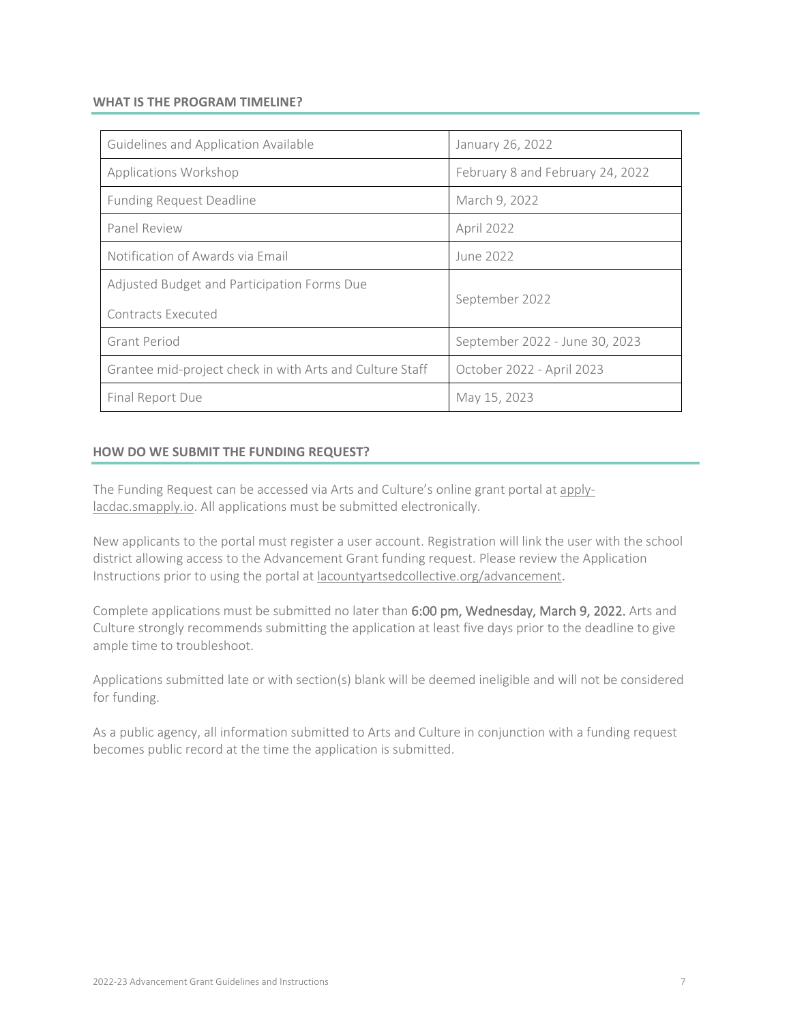### **WHAT IS THE PROGRAM TIMELINE?**

| Guidelines and Application Available                     | January 26, 2022                 |
|----------------------------------------------------------|----------------------------------|
| Applications Workshop                                    | February 8 and February 24, 2022 |
| <b>Funding Request Deadline</b>                          | March 9, 2022                    |
| Panel Review                                             | <b>April 2022</b>                |
| Notification of Awards via Email                         | June 2022                        |
| Adjusted Budget and Participation Forms Due              | September 2022                   |
| Contracts Executed                                       |                                  |
| <b>Grant Period</b>                                      | September 2022 - June 30, 2023   |
| Grantee mid-project check in with Arts and Culture Staff | October 2022 - April 2023        |
| Final Report Due                                         | May 15, 2023                     |

### **HOW DO WE SUBMIT THE FUNDING REQUEST?**

The Funding Request can be accessed via Arts and Culture's online grant portal at [apply](https://apply-lacdac.smapply.io/)[lacdac.smapply.io.](https://apply-lacdac.smapply.io/) All applications must be submitted electronically.

New applicants to the portal must register a user account. Registration will link the user with the school district allowing access to the Advancement Grant funding request. Please review the Application Instructions prior to using the portal a[t lacountyartsedcollective.org/advancement](https://www.lacountyartsedcollective.org/advancement).

Complete applications must be submitted no later than 6:00 pm, Wednesday, March 9, 2022. Arts and Culture strongly recommends submitting the application at least five days prior to the deadline to give ample time to troubleshoot.

Applications submitted late or with section(s) blank will be deemed ineligible and will not be considered for funding.

As a public agency, all information submitted to Arts and Culture in conjunction with a funding request becomes public record at the time the application is submitted.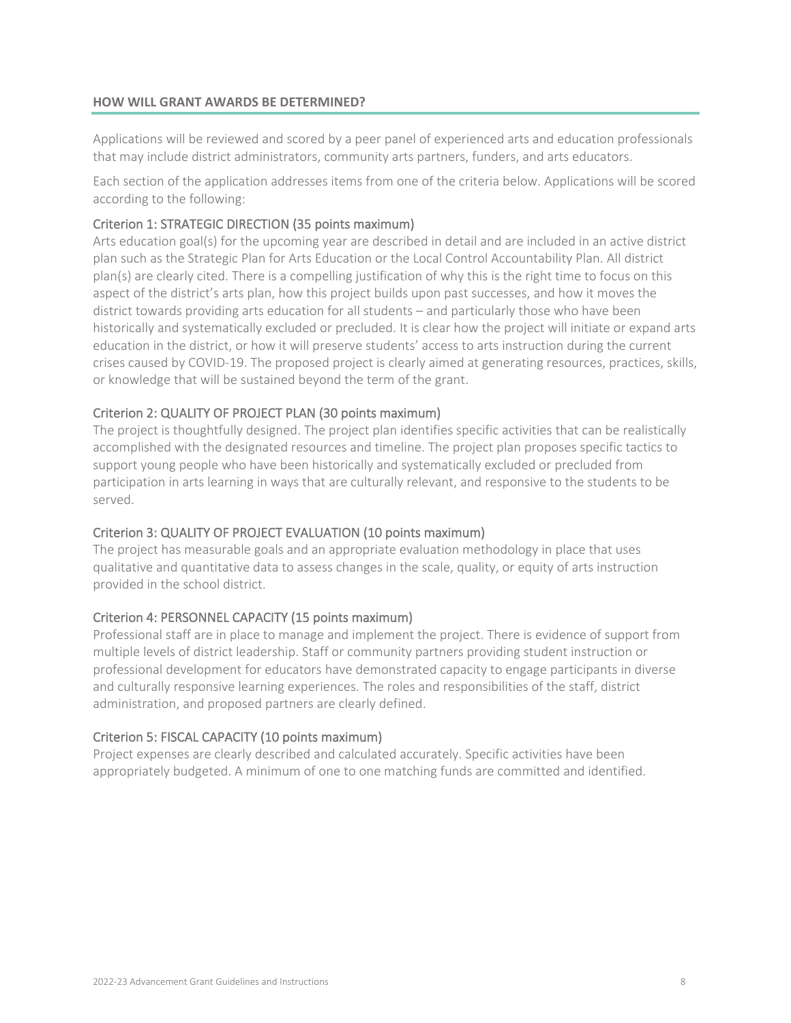### **HOW WILL GRANT AWARDS BE DETERMINED?**

Applications will be reviewed and scored by a peer panel of experienced arts and education professionals that may include district administrators, community arts partners, funders, and arts educators.

Each section of the application addresses items from one of the criteria below. Applications will be scored according to the following:

### Criterion 1: STRATEGIC DIRECTION (35 points maximum)

Arts education goal(s) for the upcoming year are described in detail and are included in an active district plan such as the Strategic Plan for Arts Education or the Local Control Accountability Plan. All district plan(s) are clearly cited. There is a compelling justification of why this is the right time to focus on this aspect of the district's arts plan, how this project builds upon past successes, and how it moves the district towards providing arts education for all students – and particularly those who have been historically and systematically excluded or precluded. It is clear how the project will initiate or expand arts education in the district, or how it will preserve students' access to arts instruction during the current crises caused by COVID-19. The proposed project is clearly aimed at generating resources, practices, skills, or knowledge that will be sustained beyond the term of the grant.

### Criterion 2: QUALITY OF PROJECT PLAN (30 points maximum)

The project is thoughtfully designed. The project plan identifies specific activities that can be realistically accomplished with the designated resources and timeline. The project plan proposes specific tactics to support young people who have been historically and systematically excluded or precluded from participation in arts learning in ways that are culturally relevant, and responsive to the students to be served.

### Criterion 3: QUALITY OF PROJECT EVALUATION (10 points maximum)

The project has measurable goals and an appropriate evaluation methodology in place that uses qualitative and quantitative data to assess changes in the scale, quality, or equity of arts instruction provided in the school district.

### Criterion 4: PERSONNEL CAPACITY (15 points maximum)

Professional staff are in place to manage and implement the project. There is evidence of support from multiple levels of district leadership. Staff or community partners providing student instruction or professional development for educators have demonstrated capacity to engage participants in diverse and culturally responsive learning experiences. The roles and responsibilities of the staff, district administration, and proposed partners are clearly defined.

### Criterion 5: FISCAL CAPACITY (10 points maximum)

Project expenses are clearly described and calculated accurately. Specific activities have been appropriately budgeted. A minimum of one to one matching funds are committed and identified.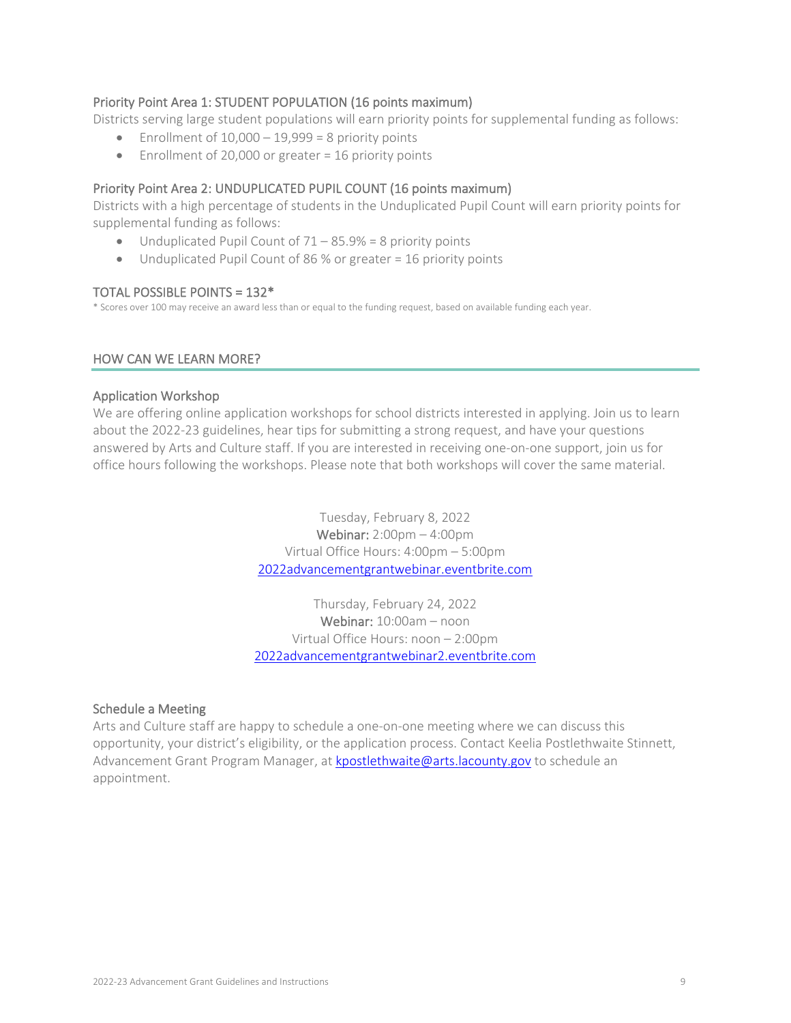### Priority Point Area 1: STUDENT POPULATION (16 points maximum)

Districts serving large student populations will earn priority points for supplemental funding as follows:

- Enrollment of  $10,000 19,999 = 8$  priority points
- Enrollment of 20,000 or greater = 16 priority points

### Priority Point Area 2: UNDUPLICATED PUPIL COUNT (16 points maximum)

Districts with a high percentage of students in the Unduplicated Pupil Count will earn priority points for supplemental funding as follows:

- Unduplicated Pupil Count of  $71 85.9\% = 8$  priority points
- Unduplicated Pupil Count of 86 % or greater = 16 priority points

**TOTAL POSSIBLE POINTS = 132\***<br>\* Scores over 100 may receive an award less than or equal to the funding request, based on available funding each year.

### HOW CAN WE LEARN MORE?

### Application Workshop

We are offering online application workshops for school districts interested in applying. Join us to learn about the 2022-23 guidelines, hear tips for submitting a strong request, and have your questions answered by Arts and Culture staff. If you are interested in receiving one-on-one support, join us for office hours following the workshops. Please note that both workshops will cover the same material.

> Tuesday, February 8, 2022 Webinar: 2:00pm – 4:00pm Virtual Office Hours: 4:00pm – 5:00pm [2022advancementgrantwebinar.eventbrite.com](https://2022advancementgrantwebinar.eventbrite.com/)

Thursday, February 24, 2022 Webinar: 10:00am – noon Virtual Office Hours: noon – 2:00pm [2022advancementgrantwebinar2.eventbrite.com](https://2022advancementgrantwebinar2.eventbrite.com/)

### Schedule a Meeting

Arts and Culture staff are happy to schedule a one-on-one meeting where we can discuss this opportunity, your district's eligibility, or the application process. Contact Keelia Postlethwaite Stinnett, Advancement Grant Program Manager, at [kpostlethwaite@arts.lacounty.gov](mailto:kpostlethwaite@arts.lacounty.gov) to schedule an appointment.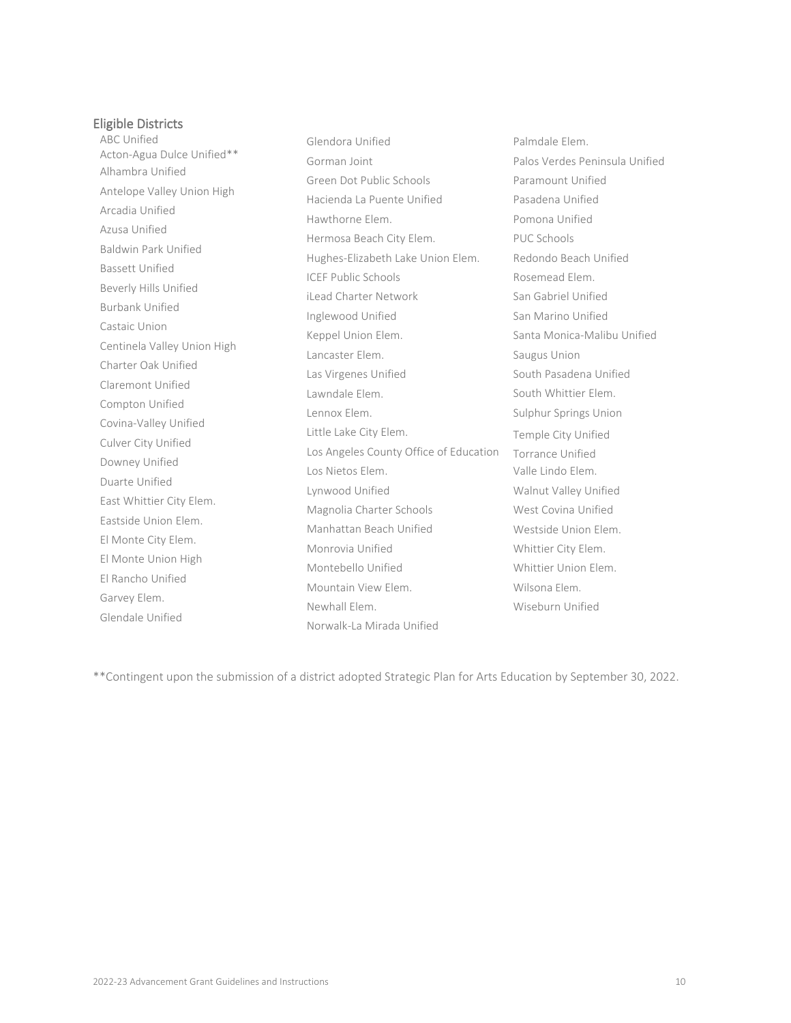### Eligible Districts

ABC Unified Acton-Agua Dulce Unified\*\* Alhambra Unified Antelope Valley Union High Arcadia Unified Azusa Unified Baldwin Park Unified Bassett Unified Beverly Hills Unified Burbank Unified Castaic Union Centinela Valley Union High Charter Oak Unified Claremont Unified Compton Unified Covina-Valley Unified Culver City Unified Downey Unified Duarte Unified East Whittier City Elem. Eastside Union Elem. El Monte City Elem. El Monte Union High El Rancho Unified Garvey Elem. Glendale Unified Glendora Unified Gorman Joint Green Dot Public Schools Hacienda La Puente Unified Hawthorne Elem. Hermosa Beach City Elem. Hughes-Elizabeth Lake Union Elem. ICEF Public Schools iLead Charter Network Inglewood Unified Keppel Union Elem. Lancaster Elem. Las Virgenes Unified Lawndale Elem. Lennox Elem. Little Lake City Elem. Los Angeles County Office of Education Los Nietos Elem. Lynwood Unified Magnolia Charter Schools Manhattan Beach Unified Monrovia Unified Montebello Unified Mountain View Elem. Newhall Elem. Norwalk-La Mirada Unified

Palmdale Elem. Palos Verdes Peninsula Unified Paramount Unified Pasadena Unified Pomona Unified PUC Schools Redondo Beach Unified Rosemead Elem. San Gabriel Unified San Marino Unified Santa Monica-Malibu Unified Saugus Union South Pasadena Unified South Whittier Elem. Sulphur Springs Union Temple City Unified Torrance Unified Valle Lindo Elem. Walnut Valley Unified West Covina Unified Westside Union Elem. Whittier City Elem. Whittier Union Elem. Wilsona Elem. Wiseburn Unified

\*\*Contingent upon the submission of a district adopted Strategic Plan for Arts Education by September 30, 2022.